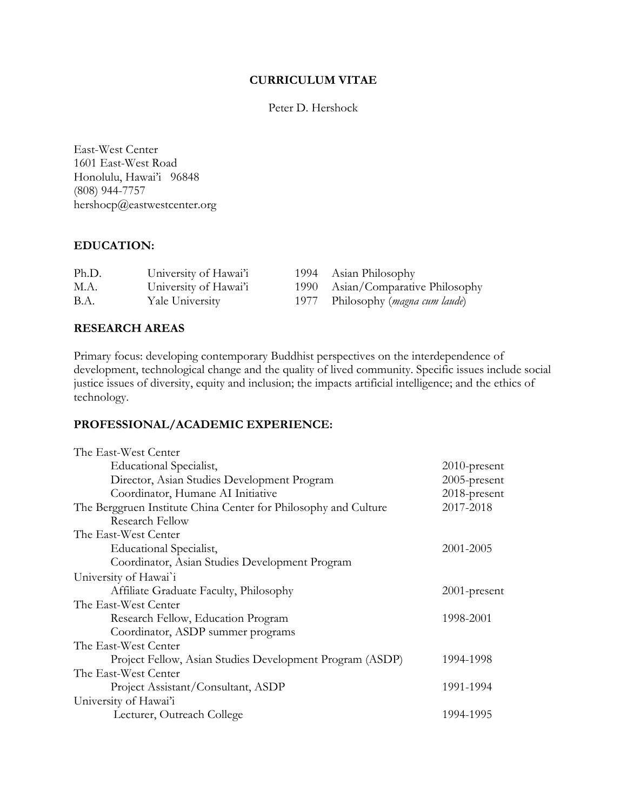### **CURRICULUM VITAE**

Peter D. Hershock

East-West Center 1601 East-West Road Honolulu, Hawai'i 96848 (808) 944-7757 hershocp@eastwestcenter.org

# **EDUCATION:**

| Ph.D. | University of Hawai'i | 1994 Asian Philosophy                      |
|-------|-----------------------|--------------------------------------------|
| M.A.  | University of Hawai'i | 1990 Asian/Comparative Philosophy          |
| B.A.  | Yale University       | 1977 Philosophy ( <i>magna cum laude</i> ) |

# **RESEARCH AREAS**

Primary focus: developing contemporary Buddhist perspectives on the interdependence of development, technological change and the quality of lived community. Specific issues include social justice issues of diversity, equity and inclusion; the impacts artificial intelligence; and the ethics of technology.

# **PROFESSIONAL/ACADEMIC EXPERIENCE:**

| $2010$ -present |
|-----------------|
| $2005$ -present |
| 2018-present    |
| 2017-2018       |
|                 |
|                 |
| 2001-2005       |
|                 |
|                 |
| $2001$ -present |
|                 |
| 1998-2001       |
|                 |
|                 |
| 1994-1998       |
|                 |
| 1991-1994       |
|                 |
| 1994-1995       |
|                 |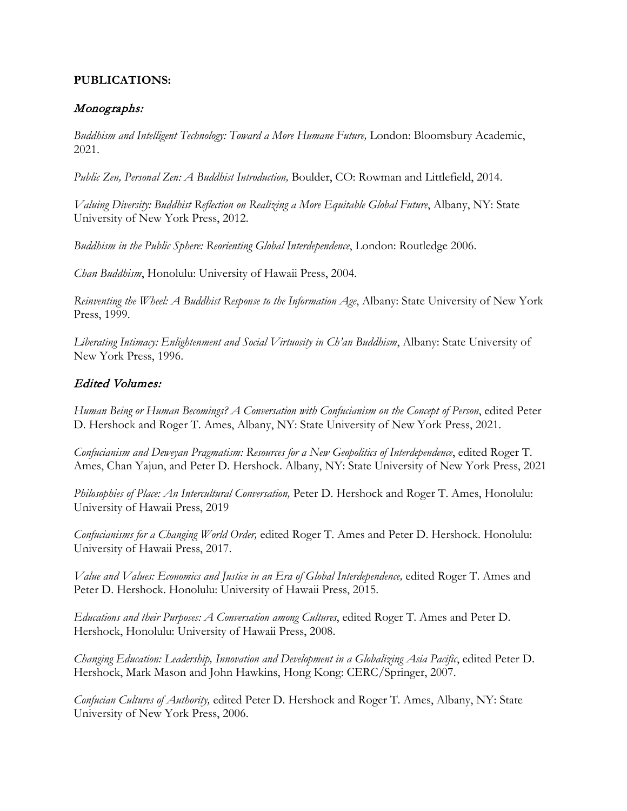# **PUBLICATIONS:**

# Monographs:

*Buddhism and Intelligent Technology: Toward a More Humane Future,* London: Bloomsbury Academic, 2021.

*Public Zen, Personal Zen: A Buddhist Introduction,* Boulder, CO: Rowman and Littlefield, 2014.

*Valuing Diversity: Buddhist Reflection on Realizing a More Equitable Global Future*, Albany, NY: State University of New York Press, 2012.

*Buddhism in the Public Sphere: Reorienting Global Interdependence*, London: Routledge 2006.

*Chan Buddhism*, Honolulu: University of Hawaii Press, 2004.

*Reinventing the Wheel: A Buddhist Response to the Information Age*, Albany: State University of New York Press, 1999.

*Liberating Intimacy: Enlightenment and Social Virtuosity in Ch'an Buddhism*, Albany: State University of New York Press, 1996.

# Edited Volumes:

*Human Being or Human Becomings? A Conversation with Confucianism on the Concept of Person*, edited Peter D. Hershock and Roger T. Ames, Albany, NY: State University of New York Press, 2021.

*Confucianism and Deweyan Pragmatism: Resources for a New Geopolitics of Interdependence*, edited Roger T. Ames, Chan Yajun, and Peter D. Hershock. Albany, NY: State University of New York Press, 2021

*Philosophies of Place: An Intercultural Conversation,* Peter D. Hershock and Roger T. Ames, Honolulu: University of Hawaii Press, 2019

*Confucianisms for a Changing World Order,* edited Roger T. Ames and Peter D. Hershock. Honolulu: University of Hawaii Press, 2017.

*Value and Values: Economics and Justice in an Era of Global Interdependence,* edited Roger T. Ames and Peter D. Hershock. Honolulu: University of Hawaii Press, 2015.

*Educations and their Purposes: A Conversation among Cultures*, edited Roger T. Ames and Peter D. Hershock, Honolulu: University of Hawaii Press, 2008.

*Changing Education: Leadership, Innovation and Development in a Globalizing Asia Pacific*, edited Peter D. Hershock, Mark Mason and John Hawkins, Hong Kong: CERC/Springer, 2007.

*Confucian Cultures of Authority,* edited Peter D. Hershock and Roger T. Ames, Albany, NY: State University of New York Press, 2006.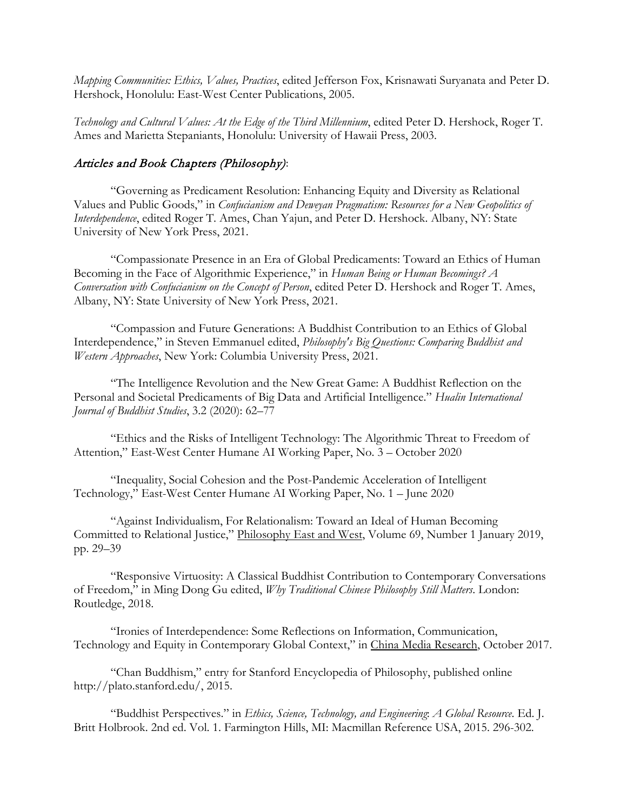*Mapping Communities: Ethics, Values, Practices*, edited Jefferson Fox, Krisnawati Suryanata and Peter D. Hershock, Honolulu: East-West Center Publications, 2005.

*Technology and Cultural Values: At the Edge of the Third Millennium*, edited Peter D. Hershock, Roger T. Ames and Marietta Stepaniants, Honolulu: University of Hawaii Press, 2003.

### Articles and Book Chapters (Philosophy):

"Governing as Predicament Resolution: Enhancing Equity and Diversity as Relational Values and Public Goods," in *Confucianism and Deweyan Pragmatism: Resources for a New Geopolitics of Interdependence*, edited Roger T. Ames, Chan Yajun, and Peter D. Hershock. Albany, NY: State University of New York Press, 2021.

"Compassionate Presence in an Era of Global Predicaments: Toward an Ethics of Human Becoming in the Face of Algorithmic Experience," in *Human Being or Human Becomings? A Conversation with Confucianism on the Concept of Person*, edited Peter D. Hershock and Roger T. Ames, Albany, NY: State University of New York Press, 2021.

"Compassion and Future Generations: A Buddhist Contribution to an Ethics of Global Interdependence," in Steven Emmanuel edited, *Philosophy's Big Questions: Comparing Buddhist and Western Approaches*, New York: Columbia University Press, 2021.

"The Intelligence Revolution and the New Great Game: A Buddhist Reflection on the Personal and Societal Predicaments of Big Data and Artificial Intelligence." *Hualin International Journal of Buddhist Studies*, 3.2 (2020): 62–77

"Ethics and the Risks of Intelligent Technology: The Algorithmic Threat to Freedom of Attention," East-West Center Humane AI Working Paper, No. 3 – October 2020

"Inequality, Social Cohesion and the Post-Pandemic Acceleration of Intelligent Technology," East-West Center Humane AI Working Paper, No. 1 – June 2020

"Against Individualism, For Relationalism: Toward an Ideal of Human Becoming Committed to Relational Justice," Philosophy East and West, Volume 69, Number 1 January 2019, pp. 29–39

"Responsive Virtuosity: A Classical Buddhist Contribution to Contemporary Conversations of Freedom," in Ming Dong Gu edited, *Why Traditional Chinese Philosophy Still Matters*. London: Routledge, 2018.

"Ironies of Interdependence: Some Reflections on Information, Communication, Technology and Equity in Contemporary Global Context," in China Media Research, October 2017.

"Chan Buddhism," entry for Stanford Encyclopedia of Philosophy, published online http://plato.stanford.edu/, 2015.

"Buddhist Perspectives." in *Ethics, Science, Technology, and Engineering*: *A Global Resource*. Ed. J. Britt Holbrook. 2nd ed. Vol. 1. Farmington Hills, MI: Macmillan Reference USA, 2015. 296-302.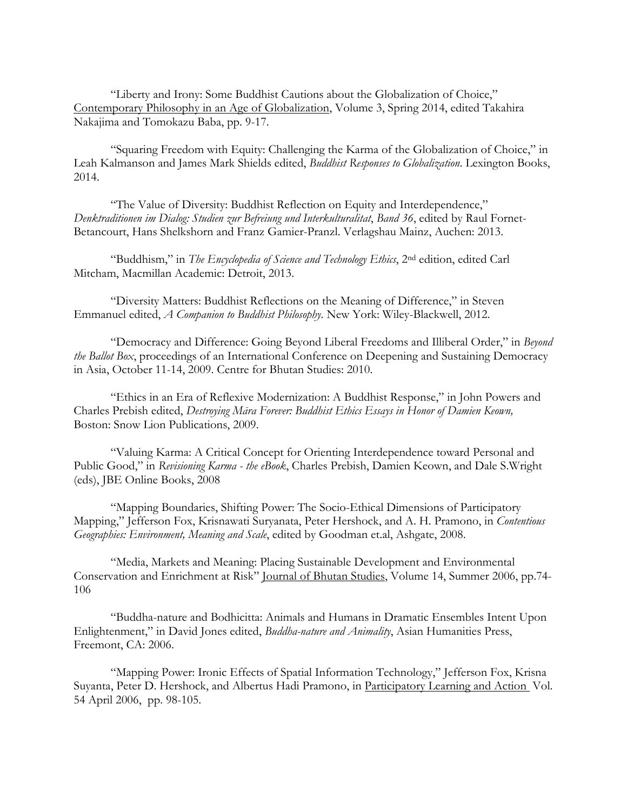"Liberty and Irony: Some Buddhist Cautions about the Globalization of Choice," Contemporary Philosophy in an Age of Globalization, Volume 3, Spring 2014, edited Takahira Nakajima and Tomokazu Baba, pp. 9-17.

"Squaring Freedom with Equity: Challenging the Karma of the Globalization of Choice," in Leah Kalmanson and James Mark Shields edited, *Buddhist Responses to Globalization*. Lexington Books, 2014.

"The Value of Diversity: Buddhist Reflection on Equity and Interdependence," *Denktraditionen im Dialog: Studien zur Befreiung und Interkulturalitat*, *Band 36*, edited by Raul Fornet-Betancourt, Hans Shelkshorn and Franz Gamier-Pranzl. Verlagshau Mainz, Auchen: 2013.

"Buddhism," in *The Encyclopedia of Science and Technology Ethics*, 2nd edition, edited Carl Mitcham, Macmillan Academic: Detroit, 2013.

"Diversity Matters: Buddhist Reflections on the Meaning of Difference," in Steven Emmanuel edited, *A Companion to Buddhist Philosophy*. New York: Wiley-Blackwell, 2012.

"Democracy and Difference: Going Beyond Liberal Freedoms and Illiberal Order," in *Beyond the Ballot Box*, proceedings of an International Conference on Deepening and Sustaining Democracy in Asia, October 11-14, 2009. Centre for Bhutan Studies: 2010.

"Ethics in an Era of Reflexive Modernization: A Buddhist Response," in John Powers and Charles Prebish edited, *Destroying Māra Forever: Buddhist Ethics Essays in Honor of Damien Keown,*  Boston: Snow Lion Publications, 2009.

"Valuing Karma: A Critical Concept for Orienting Interdependence toward Personal and Public Good," in *Revisioning Karma - the eBook*, Charles Prebish, Damien Keown, and Dale S.Wright (eds), JBE Online Books, 2008

"Mapping Boundaries, Shifting Power: The Socio-Ethical Dimensions of Participatory Mapping," Jefferson Fox, Krisnawati Suryanata, Peter Hershock, and A. H. Pramono, in *Contentious Geographies: Environment, Meaning and Scale*, edited by Goodman et.al, Ashgate, 2008.

"Media, Markets and Meaning: Placing Sustainable Development and Environmental Conservation and Enrichment at Risk" Journal of Bhutan Studies, Volume 14, Summer 2006, pp.74- 106

"Buddha-nature and Bodhicitta: Animals and Humans in Dramatic Ensembles Intent Upon Enlightenment," in David Jones edited, *Buddha-nature and Animality*, Asian Humanities Press, Freemont, CA: 2006.

"Mapping Power: Ironic Effects of Spatial Information Technology," Jefferson Fox, Krisna Suyanta, Peter D. Hershock, and Albertus Hadi Pramono, in Participatory Learning and Action Vol. 54 April 2006, pp. 98-105.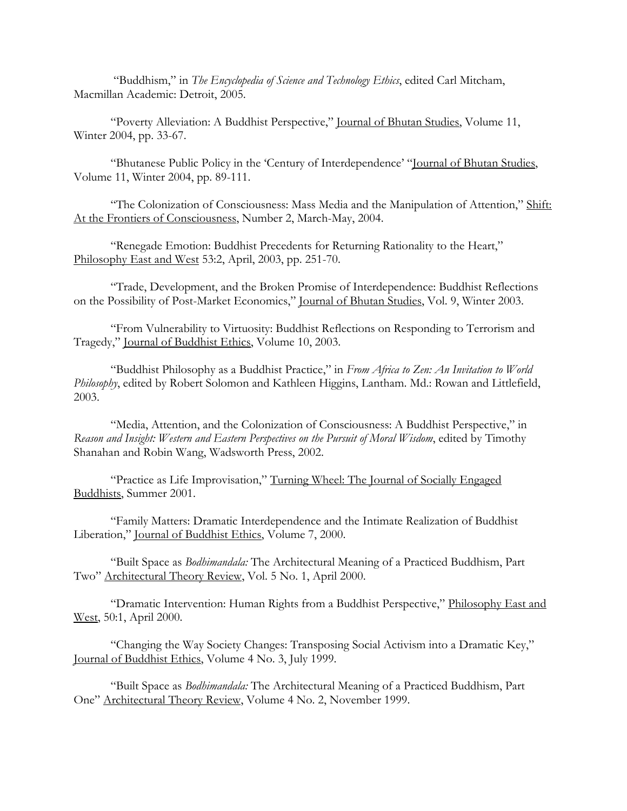"Buddhism," in *The Encyclopedia of Science and Technology Ethics*, edited Carl Mitcham, Macmillan Academic: Detroit, 2005.

"Poverty Alleviation: A Buddhist Perspective," Journal of Bhutan Studies, Volume 11, Winter 2004, pp. 33-67.

"Bhutanese Public Policy in the 'Century of Interdependence' "Journal of Bhutan Studies, Volume 11, Winter 2004, pp. 89-111.

"The Colonization of Consciousness: Mass Media and the Manipulation of Attention," Shift: At the Frontiers of Consciousness, Number 2, March-May, 2004.

"Renegade Emotion: Buddhist Precedents for Returning Rationality to the Heart," Philosophy East and West 53:2, April, 2003, pp. 251-70.

"Trade, Development, and the Broken Promise of Interdependence: Buddhist Reflections on the Possibility of Post-Market Economics," Journal of Bhutan Studies, Vol. 9, Winter 2003.

"From Vulnerability to Virtuosity: Buddhist Reflections on Responding to Terrorism and Tragedy," Journal of Buddhist Ethics, Volume 10, 2003.

"Buddhist Philosophy as a Buddhist Practice," in *From Africa to Zen: An Invitation to World Philosophy*, edited by Robert Solomon and Kathleen Higgins, Lantham. Md.: Rowan and Littlefield, 2003.

"Media, Attention, and the Colonization of Consciousness: A Buddhist Perspective," in *Reason and Insight: Western and Eastern Perspectives on the Pursuit of Moral Wisdom*, edited by Timothy Shanahan and Robin Wang, Wadsworth Press, 2002.

"Practice as Life Improvisation," Turning Wheel: The Journal of Socially Engaged Buddhists, Summer 2001.

"Family Matters: Dramatic Interdependence and the Intimate Realization of Buddhist Liberation," Journal of Buddhist Ethics, Volume 7, 2000.

"Built Space as *Bodhimandala:* The Architectural Meaning of a Practiced Buddhism, Part Two" Architectural Theory Review, Vol. 5 No. 1, April 2000.

"Dramatic Intervention: Human Rights from a Buddhist Perspective," Philosophy East and West, 50:1, April 2000.

"Changing the Way Society Changes: Transposing Social Activism into a Dramatic Key," Journal of Buddhist Ethics, Volume 4 No. 3, July 1999.

"Built Space as *Bodhimandala:* The Architectural Meaning of a Practiced Buddhism, Part One" Architectural Theory Review, Volume 4 No. 2, November 1999.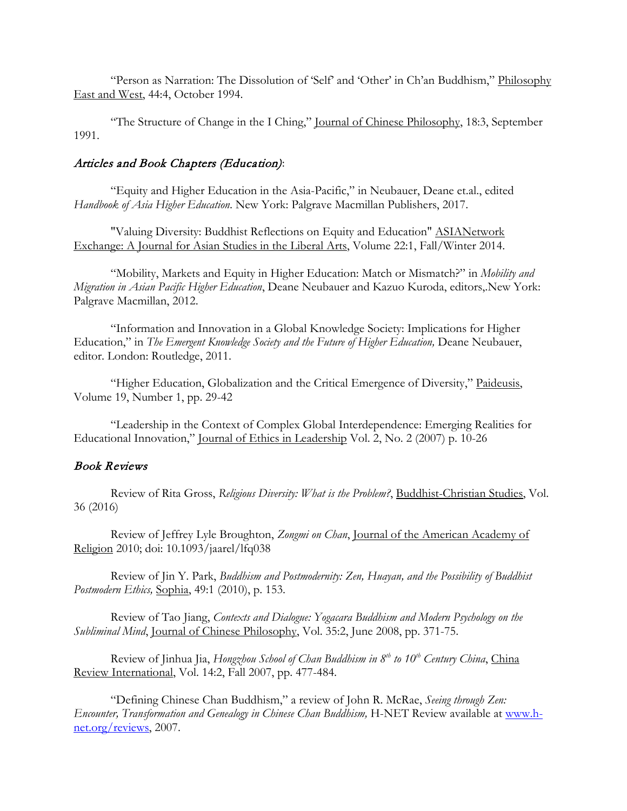"Person as Narration: The Dissolution of 'Self' and 'Other' in Ch'an Buddhism," Philosophy East and West, 44:4, October 1994.

"The Structure of Change in the I Ching," Journal of Chinese Philosophy, 18:3, September 1991.

## Articles and Book Chapters (Education):

"Equity and Higher Education in the Asia-Pacific," in Neubauer, Deane et.al., edited *Handbook of Asia Higher Education*. New York: Palgrave Macmillan Publishers, 2017.

"Valuing Diversity: Buddhist Reflections on Equity and Education" ASIANetwork Exchange: A Journal for Asian Studies in the Liberal Arts, Volume 22:1, Fall/Winter 2014.

"Mobility, Markets and Equity in Higher Education: Match or Mismatch?" in *Mobility and Migration in Asian Pacific Higher Education*, Deane Neubauer and Kazuo Kuroda, editors,.New York: Palgrave Macmillan, 2012.

"Information and Innovation in a Global Knowledge Society: Implications for Higher Education," in *The Emergent Knowledge Society and the Future of Higher Education,* Deane Neubauer, editor. London: Routledge, 2011.

"Higher Education, Globalization and the Critical Emergence of Diversity," Paideusis, Volume 19, Number 1, pp. 29-42

"Leadership in the Context of Complex Global Interdependence: Emerging Realities for Educational Innovation," Journal of Ethics in Leadership Vol. 2, No. 2 (2007) p. 10-26

### Book Reviews

Review of Rita Gross, *Religious Diversity: What is the Problem?*, Buddhist-Christian Studies, Vol. 36 (2016)

Review of Jeffrey Lyle Broughton, *Zongmi on Chan*, Journal of the American Academy of Religion 2010; doi: 10.1093/jaarel/lfq038

Review of Jin Y. Park, *Buddhism and Postmodernity: Zen, Huayan, and the Possibility of Buddhist Postmodern Ethics,* Sophia, 49:1 (2010), p. 153.

Review of Tao Jiang, *Contexts and Dialogue: Yogacara Buddhism and Modern Psychology on the Subliminal Mind*, Journal of Chinese Philosophy, Vol. 35:2, June 2008, pp. 371-75.

Review of Jinhua Jia, *Hongzhou School of Chan Buddhism in 8th to 10th Century China*, China Review International, Vol. 14:2, Fall 2007, pp. 477-484.

"Defining Chinese Chan Buddhism," a review of John R. McRae, *Seeing through Zen: Encounter, Transformation and Genealogy in Chinese Chan Buddhism,* H-NET Review available at [www.h](http://www.h-net.org/reviews)[net.org/reviews,](http://www.h-net.org/reviews) 2007.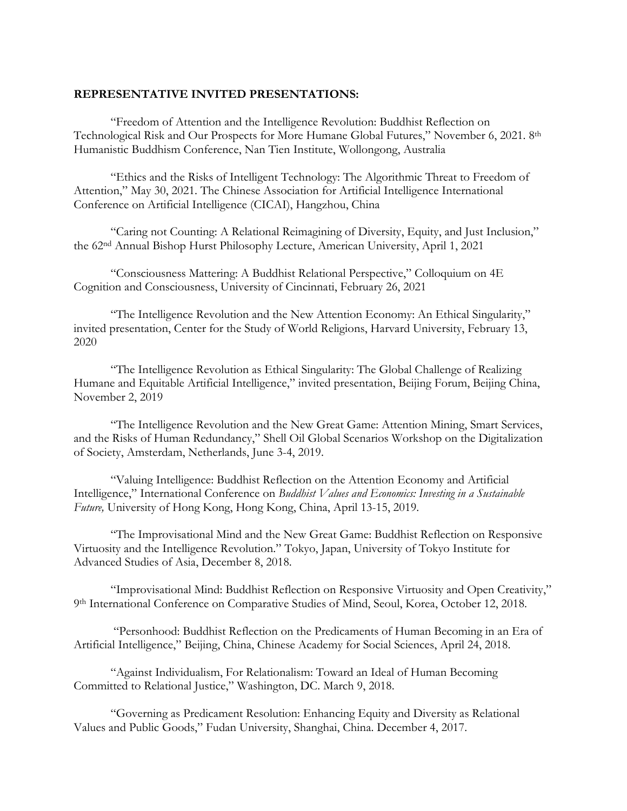#### **REPRESENTATIVE INVITED PRESENTATIONS:**

"Freedom of Attention and the Intelligence Revolution: Buddhist Reflection on Technological Risk and Our Prospects for More Humane Global Futures," November 6, 2021. 8th Humanistic Buddhism Conference, Nan Tien Institute, Wollongong, Australia

"Ethics and the Risks of Intelligent Technology: The Algorithmic Threat to Freedom of Attention," May 30, 2021. The Chinese Association for Artificial Intelligence International Conference on Artificial Intelligence (CICAI), Hangzhou, China

"Caring not Counting: A Relational Reimagining of Diversity, Equity, and Just Inclusion," the 62nd Annual Bishop Hurst Philosophy Lecture, American University, April 1, 2021

"Consciousness Mattering: A Buddhist Relational Perspective," Colloquium on 4E Cognition and Consciousness, University of Cincinnati, February 26, 2021

"The Intelligence Revolution and the New Attention Economy: An Ethical Singularity," invited presentation, Center for the Study of World Religions, Harvard University, February 13, 2020

"The Intelligence Revolution as Ethical Singularity: The Global Challenge of Realizing Humane and Equitable Artificial Intelligence," invited presentation, Beijing Forum, Beijing China, November 2, 2019

"The Intelligence Revolution and the New Great Game: Attention Mining, Smart Services, and the Risks of Human Redundancy," Shell Oil Global Scenarios Workshop on the Digitalization of Society, Amsterdam, Netherlands, June 3-4, 2019.

"Valuing Intelligence: Buddhist Reflection on the Attention Economy and Artificial Intelligence," International Conference on *Buddhist Values and Economics: Investing in a Sustainable Future,* University of Hong Kong, Hong Kong, China, April 13-15, 2019.

"The Improvisational Mind and the New Great Game: Buddhist Reflection on Responsive Virtuosity and the Intelligence Revolution." Tokyo, Japan, University of Tokyo Institute for Advanced Studies of Asia, December 8, 2018.

"Improvisational Mind: Buddhist Reflection on Responsive Virtuosity and Open Creativity," 9th International Conference on Comparative Studies of Mind, Seoul, Korea, October 12, 2018.

"Personhood: Buddhist Reflection on the Predicaments of Human Becoming in an Era of Artificial Intelligence," Beijing, China, Chinese Academy for Social Sciences, April 24, 2018.

"Against Individualism, For Relationalism: Toward an Ideal of Human Becoming Committed to Relational Justice," Washington, DC. March 9, 2018.

"Governing as Predicament Resolution: Enhancing Equity and Diversity as Relational Values and Public Goods," Fudan University, Shanghai, China. December 4, 2017.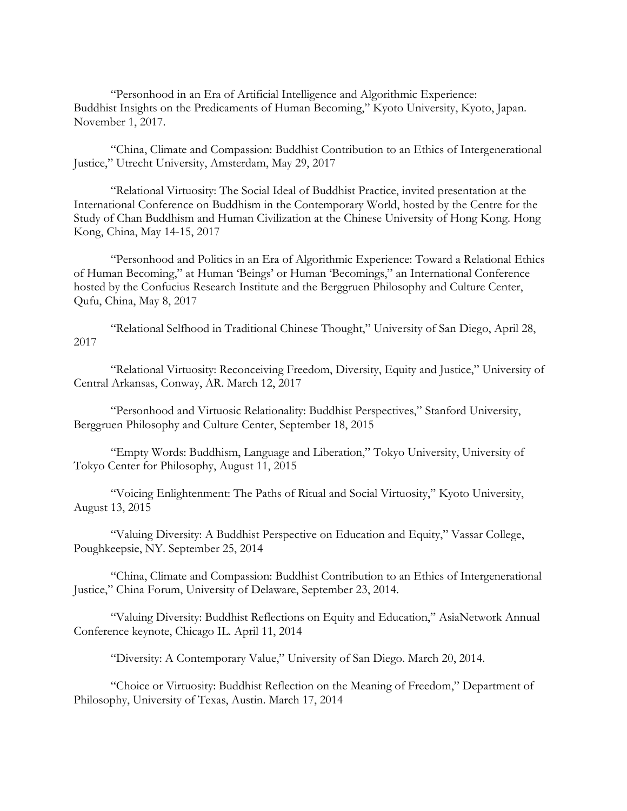"Personhood in an Era of Artificial Intelligence and Algorithmic Experience: Buddhist Insights on the Predicaments of Human Becoming," Kyoto University, Kyoto, Japan. November 1, 2017.

"China, Climate and Compassion: Buddhist Contribution to an Ethics of Intergenerational Justice," Utrecht University, Amsterdam, May 29, 2017

"Relational Virtuosity: The Social Ideal of Buddhist Practice, invited presentation at the International Conference on Buddhism in the Contemporary World, hosted by the Centre for the Study of Chan Buddhism and Human Civilization at the Chinese University of Hong Kong. Hong Kong, China, May 14-15, 2017

"Personhood and Politics in an Era of Algorithmic Experience: Toward a Relational Ethics of Human Becoming," at Human 'Beings' or Human 'Becomings," an International Conference hosted by the Confucius Research Institute and the Berggruen Philosophy and Culture Center, Qufu, China, May 8, 2017

"Relational Selfhood in Traditional Chinese Thought," University of San Diego, April 28, 2017

"Relational Virtuosity: Reconceiving Freedom, Diversity, Equity and Justice," University of Central Arkansas, Conway, AR. March 12, 2017

"Personhood and Virtuosic Relationality: Buddhist Perspectives," Stanford University, Berggruen Philosophy and Culture Center, September 18, 2015

"Empty Words: Buddhism, Language and Liberation," Tokyo University, University of Tokyo Center for Philosophy, August 11, 2015

"Voicing Enlightenment: The Paths of Ritual and Social Virtuosity," Kyoto University, August 13, 2015

"Valuing Diversity: A Buddhist Perspective on Education and Equity," Vassar College, Poughkeepsie, NY. September 25, 2014

"China, Climate and Compassion: Buddhist Contribution to an Ethics of Intergenerational Justice," China Forum, University of Delaware, September 23, 2014.

"Valuing Diversity: Buddhist Reflections on Equity and Education," AsiaNetwork Annual Conference keynote, Chicago IL. April 11, 2014

"Diversity: A Contemporary Value," University of San Diego. March 20, 2014.

"Choice or Virtuosity: Buddhist Reflection on the Meaning of Freedom," Department of Philosophy, University of Texas, Austin. March 17, 2014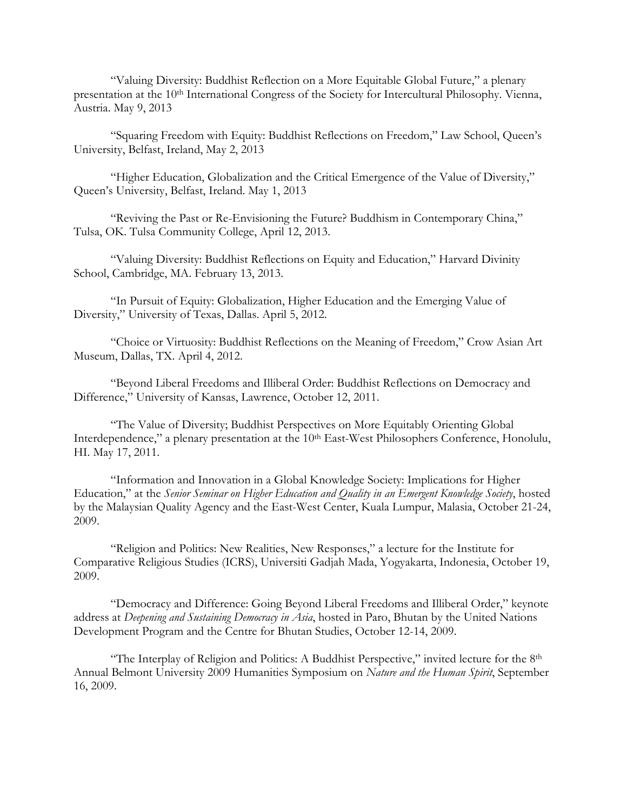"Valuing Diversity: Buddhist Reflection on a More Equitable Global Future," a plenary presentation at the 10<sup>th</sup> International Congress of the Society for Intercultural Philosophy. Vienna, Austria. May 9, 2013

"Squaring Freedom with Equity: Buddhist Reflections on Freedom," Law School, Queen's University, Belfast, Ireland, May 2, 2013

"Higher Education, Globalization and the Critical Emergence of the Value of Diversity," Queen's University, Belfast, Ireland. May 1, 2013

"Reviving the Past or Re-Envisioning the Future? Buddhism in Contemporary China," Tulsa, OK. Tulsa Community College, April 12, 2013.

"Valuing Diversity: Buddhist Reflections on Equity and Education," Harvard Divinity School, Cambridge, MA. February 13, 2013.

"In Pursuit of Equity: Globalization, Higher Education and the Emerging Value of Diversity," University of Texas, Dallas. April 5, 2012.

"Choice or Virtuosity: Buddhist Reflections on the Meaning of Freedom," Crow Asian Art Museum, Dallas, TX. April 4, 2012.

"Beyond Liberal Freedoms and Illiberal Order: Buddhist Reflections on Democracy and Difference," University of Kansas, Lawrence, October 12, 2011.

"The Value of Diversity; Buddhist Perspectives on More Equitably Orienting Global Interdependence," a plenary presentation at the 10<sup>th</sup> East-West Philosophers Conference, Honolulu, HI. May 17, 2011.

"Information and Innovation in a Global Knowledge Society: Implications for Higher Education," at the *Senior Seminar on Higher Education and Quality in an Emergent Knowledge Society*, hosted by the Malaysian Quality Agency and the East-West Center, Kuala Lumpur, Malasia, October 21-24, 2009.

"Religion and Politics: New Realities, New Responses," a lecture for the Institute for Comparative Religious Studies (ICRS), Universiti Gadjah Mada, Yogyakarta, Indonesia, October 19, 2009.

"Democracy and Difference: Going Beyond Liberal Freedoms and Illiberal Order," keynote address at *Deepening and Sustaining Democracy in Asia*, hosted in Paro, Bhutan by the United Nations Development Program and the Centre for Bhutan Studies, October 12-14, 2009.

"The Interplay of Religion and Politics: A Buddhist Perspective," invited lecture for the 8th Annual Belmont University 2009 Humanities Symposium on *Nature and the Human Spirit*, September 16, 2009.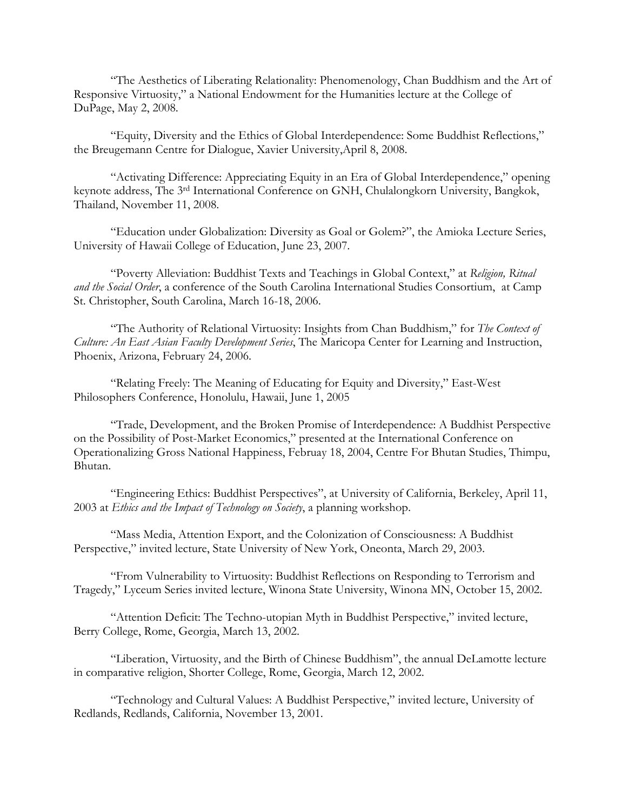"The Aesthetics of Liberating Relationality: Phenomenology, Chan Buddhism and the Art of Responsive Virtuosity," a National Endowment for the Humanities lecture at the College of DuPage, May 2, 2008.

"Equity, Diversity and the Ethics of Global Interdependence: Some Buddhist Reflections," the Breugemann Centre for Dialogue, Xavier University,April 8, 2008.

"Activating Difference: Appreciating Equity in an Era of Global Interdependence," opening keynote address, The 3rd International Conference on GNH, Chulalongkorn University, Bangkok, Thailand, November 11, 2008.

"Education under Globalization: Diversity as Goal or Golem?", the Amioka Lecture Series, University of Hawaii College of Education, June 23, 2007.

"Poverty Alleviation: Buddhist Texts and Teachings in Global Context," at *Religion, Ritual and the Social Order*, a conference of the South Carolina International Studies Consortium, at Camp St. Christopher, South Carolina, March 16-18, 2006.

"The Authority of Relational Virtuosity: Insights from Chan Buddhism," for *The Context of Culture: An East Asian Faculty Development Series*, The Maricopa Center for Learning and Instruction, Phoenix, Arizona, February 24, 2006.

"Relating Freely: The Meaning of Educating for Equity and Diversity," East-West Philosophers Conference, Honolulu, Hawaii, June 1, 2005

"Trade, Development, and the Broken Promise of Interdependence: A Buddhist Perspective on the Possibility of Post-Market Economics," presented at the International Conference on Operationalizing Gross National Happiness, Februay 18, 2004, Centre For Bhutan Studies, Thimpu, Bhutan.

"Engineering Ethics: Buddhist Perspectives", at University of California, Berkeley, April 11, 2003 at *Ethics and the Impact of Technology on Society*, a planning workshop.

"Mass Media, Attention Export, and the Colonization of Consciousness: A Buddhist Perspective," invited lecture, State University of New York, Oneonta, March 29, 2003.

"From Vulnerability to Virtuosity: Buddhist Reflections on Responding to Terrorism and Tragedy," Lyceum Series invited lecture, Winona State University, Winona MN, October 15, 2002.

"Attention Deficit: The Techno-utopian Myth in Buddhist Perspective," invited lecture, Berry College, Rome, Georgia, March 13, 2002.

"Liberation, Virtuosity, and the Birth of Chinese Buddhism", the annual DeLamotte lecture in comparative religion, Shorter College, Rome, Georgia, March 12, 2002.

"Technology and Cultural Values: A Buddhist Perspective," invited lecture, University of Redlands, Redlands, California, November 13, 2001.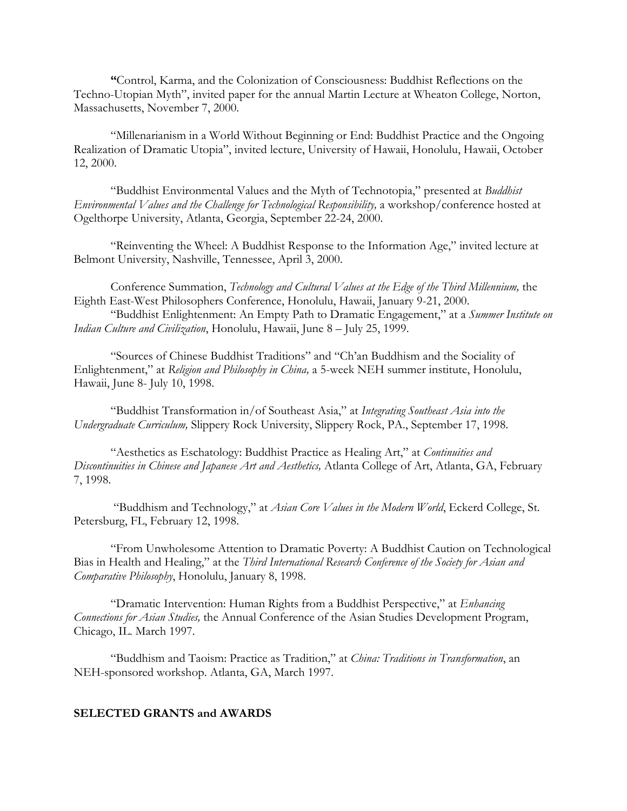**"**Control, Karma, and the Colonization of Consciousness: Buddhist Reflections on the Techno-Utopian Myth", invited paper for the annual Martin Lecture at Wheaton College, Norton, Massachusetts, November 7, 2000.

"Millenarianism in a World Without Beginning or End: Buddhist Practice and the Ongoing Realization of Dramatic Utopia", invited lecture, University of Hawaii, Honolulu, Hawaii, October 12, 2000.

"Buddhist Environmental Values and the Myth of Technotopia," presented at *Buddhist Environmental Values and the Challenge for Technological Responsibility,* a workshop/conference hosted at Ogelthorpe University, Atlanta, Georgia, September 22-24, 2000.

"Reinventing the Wheel: A Buddhist Response to the Information Age," invited lecture at Belmont University, Nashville, Tennessee, April 3, 2000.

Conference Summation, *Technology and Cultural Values at the Edge of the Third Millennium,* the Eighth East-West Philosophers Conference, Honolulu, Hawaii, January 9-21, 2000.

"Buddhist Enlightenment: An Empty Path to Dramatic Engagement," at a *Summer Institute on Indian Culture and Civilization*, Honolulu, Hawaii, June 8 – July 25, 1999.

"Sources of Chinese Buddhist Traditions" and "Ch'an Buddhism and the Sociality of Enlightenment," at *Religion and Philosophy in China,* a 5-week NEH summer institute, Honolulu, Hawaii, June 8- July 10, 1998.

"Buddhist Transformation in/of Southeast Asia," at *Integrating Southeast Asia into the Undergraduate Curriculum,* Slippery Rock University, Slippery Rock, PA., September 17, 1998.

"Aesthetics as Eschatology: Buddhist Practice as Healing Art," at *Continuities and Discontinuities in Chinese and Japanese Art and Aesthetics,* Atlanta College of Art, Atlanta, GA, February 7, 1998.

"Buddhism and Technology," at *Asian Core Values in the Modern World*, Eckerd College, St. Petersburg, FL, February 12, 1998.

"From Unwholesome Attention to Dramatic Poverty: A Buddhist Caution on Technological Bias in Health and Healing," at the *Third International Research Conference of the Society for Asian and Comparative Philosophy*, Honolulu, January 8, 1998.

"Dramatic Intervention: Human Rights from a Buddhist Perspective," at *Enhancing Connections for Asian Studies,* the Annual Conference of the Asian Studies Development Program, Chicago, IL. March 1997.

"Buddhism and Taoism: Practice as Tradition," at *China: Traditions in Transformation*, an NEH-sponsored workshop. Atlanta, GA, March 1997.

#### **SELECTED GRANTS and AWARDS**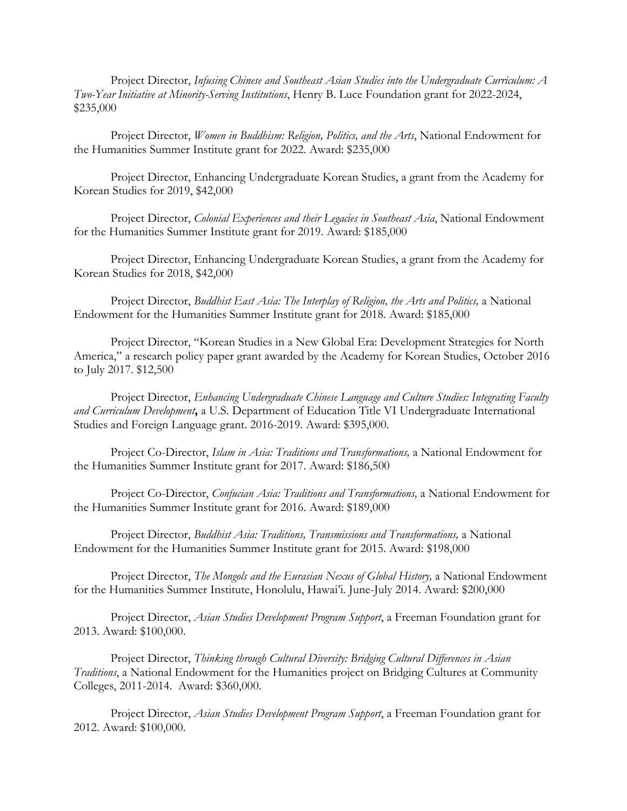Project Director, *Infusing Chinese and Southeast Asian Studies into the Undergraduate Curriculum: A Two-Year Initiative at Minority-Serving Institutions*, Henry B. Luce Foundation grant for 2022-2024, \$235,000

Project Director, *Women in Buddhism: Religion, Politics, and the Arts*, National Endowment for the Humanities Summer Institute grant for 2022. Award: \$235,000

Project Director, Enhancing Undergraduate Korean Studies, a grant from the Academy for Korean Studies for 2019, \$42,000

Project Director, *Colonial Experiences and their Legacies in Southeast Asia*, National Endowment for the Humanities Summer Institute grant for 2019. Award: \$185,000

Project Director, Enhancing Undergraduate Korean Studies, a grant from the Academy for Korean Studies for 2018, \$42,000

Project Director, *Buddhist East Asia: The Interplay of Religion, the Arts and Politics,* a National Endowment for the Humanities Summer Institute grant for 2018. Award: \$185,000

Project Director, "Korean Studies in a New Global Era: Development Strategies for North America," a research policy paper grant awarded by the Academy for Korean Studies, October 2016 to July 2017. \$12,500

Project Director, *Enhancing Undergraduate Chinese Language and Culture Studies: Integrating Faculty and Curriculum Development***,** a U.S. Department of Education Title VI Undergraduate International Studies and Foreign Language grant. 2016-2019. Award: \$395,000.

Project Co-Director, *Islam in Asia: Traditions and Transformations,* a National Endowment for the Humanities Summer Institute grant for 2017. Award: \$186,500

Project Co-Director, *Confucian Asia: Traditions and Transformations,* a National Endowment for the Humanities Summer Institute grant for 2016. Award: \$189,000

Project Director, *Buddhist Asia: Traditions, Transmissions and Transformations,* a National Endowment for the Humanities Summer Institute grant for 2015. Award: \$198,000

Project Director, *The Mongols and the Eurasian Nexus of Global History,* a National Endowment for the Humanities Summer Institute, Honolulu, Hawai'i. June-July 2014. Award: \$200,000

Project Director, *Asian Studies Development Program Support*, a Freeman Foundation grant for 2013. Award: \$100,000.

Project Director, *Thinking through Cultural Diversity: Bridging Cultural Differences in Asian Traditions*, a National Endowment for the Humanities project on Bridging Cultures at Community Colleges, 2011-2014. Award: \$360,000.

Project Director, *Asian Studies Development Program Support*, a Freeman Foundation grant for 2012. Award: \$100,000.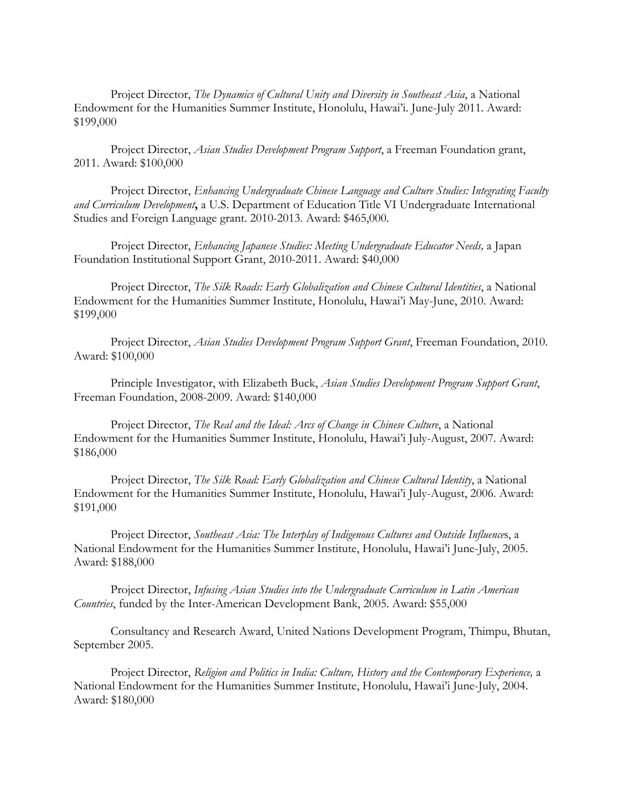Project Director, *The Dynamics of Cultural Unity and Diversity in Southeast Asia*, a National Endowment for the Humanities Summer Institute, Honolulu, Hawai'i. June-July 2011. Award: \$199,000

Project Director, *Asian Studies Development Program Support*, a Freeman Foundation grant, 2011. Award: \$100,000

Project Director, *Enhancing Undergraduate Chinese Language and Culture Studies: Integrating Faculty and Curriculum Development***,** a U.S. Department of Education Title VI Undergraduate International Studies and Foreign Language grant. 2010-2013. Award: \$465,000.

Project Director, *Enhancing Japanese Studies: Meeting Undergraduate Educator Needs,* a Japan Foundation Institutional Support Grant, 2010-2011. Award: \$40,000

Project Director, *The Silk Roads: Early Globalization and Chinese Cultural Identities*, a National Endowment for the Humanities Summer Institute, Honolulu, Hawai'i May-June, 2010. Award: \$199,000

Project Director, *Asian Studies Development Program Support Grant*, Freeman Foundation, 2010. Award: \$100,000

Principle Investigator, with Elizabeth Buck, *Asian Studies Development Program Support Grant*, Freeman Foundation, 2008-2009. Award: \$140,000

Project Director, *The Real and the Ideal: Arcs of Change in Chinese Culture*, a National Endowment for the Humanities Summer Institute, Honolulu, Hawai'i July-August, 2007. Award: \$186,000

Project Director, *The Silk Road: Early Globalization and Chinese Cultural Identity*, a National Endowment for the Humanities Summer Institute, Honolulu, Hawai'i July-August, 2006. Award: \$191,000

Project Director, *Southeast Asia: The Interplay of Indigenous Cultures and Outside Influence*s, a National Endowment for the Humanities Summer Institute, Honolulu, Hawai'i June-July, 2005. Award: \$188,000

Project Director, *Infusing Asian Studies into the Undergraduate Curriculum in Latin American Countries*, funded by the Inter-American Development Bank, 2005. Award: \$55,000

Consultancy and Research Award, United Nations Development Program, Thimpu, Bhutan, September 2005.

Project Director, *Religion and Politics in India: Culture, History and the Contemporary Experience,* a National Endowment for the Humanities Summer Institute, Honolulu, Hawai'i June-July, 2004. Award: \$180,000